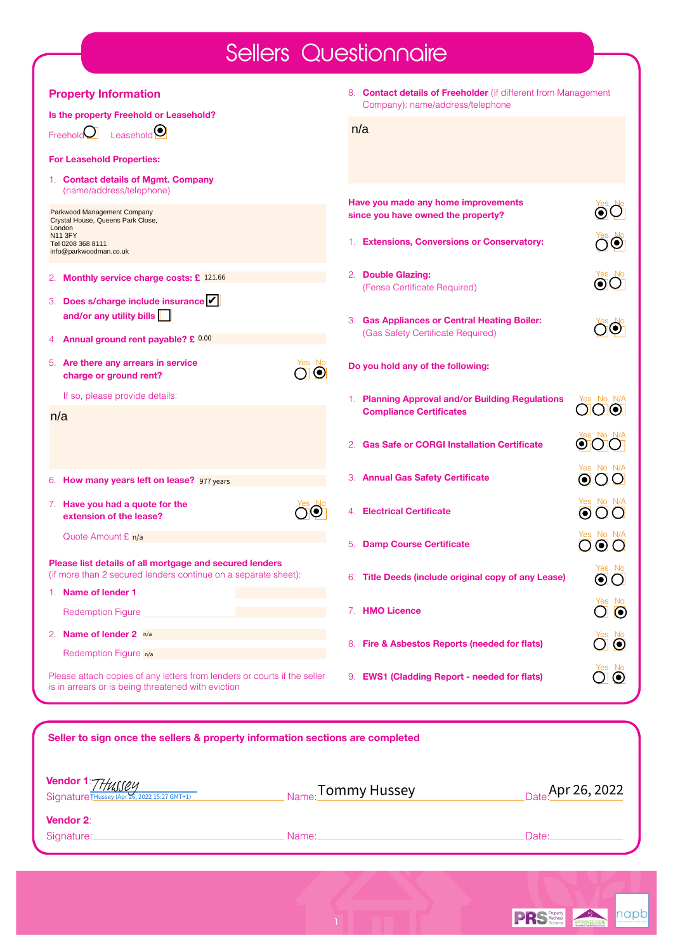## Sellers Questionnaire

| <b>Property Information</b>                                                                                                    | 8. Contact details of Freeholder (if different from Management            |                                                 |  |  |
|--------------------------------------------------------------------------------------------------------------------------------|---------------------------------------------------------------------------|-------------------------------------------------|--|--|
| Is the property Freehold or Leasehold?                                                                                         | Company): name/address/telephone                                          |                                                 |  |  |
| Leasehold <sup>(0)</sup><br>Freehold $\bigcup$                                                                                 | n/a                                                                       |                                                 |  |  |
| <b>For Leasehold Properties:</b>                                                                                               |                                                                           |                                                 |  |  |
| 1. Contact details of Mgmt. Company<br>(name/address/telephone)                                                                |                                                                           |                                                 |  |  |
| Parkwood Management Company<br>Crystal House, Queens Park Close,<br>London                                                     | Have you made any home improvements<br>since you have owned the property? |                                                 |  |  |
| <b>N11 3FY</b><br>Tel 0208 368 8111<br>info@parkwoodman.co.uk                                                                  | 1. Extensions, Conversions or Conservatory:                               | $\odot$                                         |  |  |
| Monthly service charge costs: £ 121.66<br>2. .                                                                                 | 2. Double Glazing:<br>(Fensa Certificate Required)                        | $\odot$ l $\odot$                               |  |  |
| Does s/charge include insurance                                                                                                |                                                                           |                                                 |  |  |
| and/or any utility bills                                                                                                       | 3. Gas Appliances or Central Heating Boiler:                              |                                                 |  |  |
| Annual ground rent payable? £ 0.00                                                                                             | (Gas Safety Certificate Required)                                         |                                                 |  |  |
| 5. Are there any arrears in service<br>$\odot$<br>charge or ground rent?                                                       | Do you hold any of the following:                                         |                                                 |  |  |
| If so, please provide details:                                                                                                 | 1. Planning Approval and/or Building Regulations                          | Yes No N/A                                      |  |  |
| n/a                                                                                                                            | <b>Compliance Certificates</b>                                            | $\bigcirc$                                      |  |  |
|                                                                                                                                | <b>Gas Safe or CORGI Installation Certificate</b>                         | $\bf o$                                         |  |  |
| 6. How many years left on lease? 977 years                                                                                     | 3. Annual Gas Safety Certificate                                          | Yes No N/A<br>$\boldsymbol{\Theta}$<br>ບ        |  |  |
| 7. Have you had a quote for the<br>extension of the lease?                                                                     | 4. Electrical Certificate                                                 | Yes No N/A<br>$\boldsymbol{\odot}$<br>( )       |  |  |
| Quote Amount £ n/a                                                                                                             | <b>Damp Course Certificate</b><br>5.                                      | Yes No N/A<br>$\odot$<br>( )<br>( )             |  |  |
| Please list details of all mortgage and secured lenders<br>(if more than 2 secured lenders continue on a separate sheet):      | 6. Title Deeds (include original copy of any Lease)                       | Yes No<br>$\odot$                               |  |  |
| Name of lender 1<br>1.                                                                                                         |                                                                           |                                                 |  |  |
| <b>Redemption Figure</b>                                                                                                       | 7. HMO Licence                                                            | $\overline{\textbf{O}}$ $\overline{\textbf{O}}$ |  |  |
| 2. Name of lender $2 \frac{n}{a}$                                                                                              |                                                                           | $\bullet$ $\bullet$                             |  |  |
| Redemption Figure <sub>n/a</sub>                                                                                               | 8. Fire & Asbestos Reports (needed for flats)                             |                                                 |  |  |
| Please attach copies of any letters from lenders or courts if the seller<br>is in arrears or is being threatened with eviction | 9. EWS1 (Cladding Report - needed for flats)                              | $\sum_{i=1}^{N_{\rm CS}}$<br>$\mathbf{\Omega}$  |  |  |
|                                                                                                                                |                                                                           |                                                 |  |  |
| Seller to sign once the sellers & property information sections are completed                                                  |                                                                           |                                                 |  |  |
|                                                                                                                                |                                                                           |                                                 |  |  |
| Vendor 1                                                                                                                       |                                                                           |                                                 |  |  |
|                                                                                                                                | Tommy Hussey                                                              | Data Apr 26, 2022                               |  |  |

| <b>Vendor 1:</b> 77/ <sub><i>USSEY</i><br/>Signature THussey (Apr 26, 2022 15:27 GMT+1)</sub> | $_{\sf Name:}$ Tommy Hussey | $_{\text{Date}}$ Apr 26, 2022 |
|-----------------------------------------------------------------------------------------------|-----------------------------|-------------------------------|
| <b>Vendor 2:</b>                                                                              |                             |                               |
| Signature:                                                                                    | Name:                       | Date:                         |